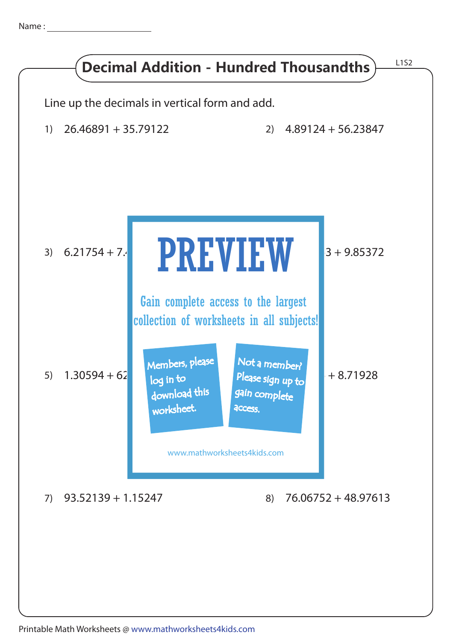